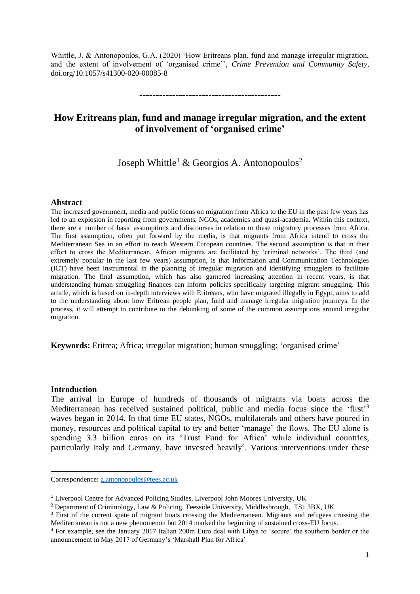Whittle, J. & Antonopoulos, G.A. (2020) 'How Eritreans plan, fund and manage irregular migration, and the extent of involvement of 'organised crime'', *Crime Prevention and Community Safety*, doi.org/10.1057/s41300-020-00085-8

#### **-------------------------------------------**

# **How Eritreans plan, fund and manage irregular migration, and the extent of involvement of 'organised crime'**

Joseph Whittle<sup>1</sup> & Georgios A. Antonopoulos<sup>2</sup>

### **Abstract**

The increased government, media and public focus on migration from Africa to the EU in the past few years has led to an explosion in reporting from governments, NGOs, academics and quasi-academia. Within this context, there are a number of basic assumptions and discourses in relation to these migratory processes from Africa. The first assumption, often put forward by the media, is that migrants from Africa intend to cross the Mediterranean Sea in an effort to reach Western European countries. The second assumption is that in their effort to cross the Mediterranean, African migrants are facilitated by 'criminal networks'. The third (and extremely popular in the last few years) assumption, is that Information and Communication Technologies (ICT) have been instrumental in the planning of irregular migration and identifying smugglers to facilitate migration. The final assumption, which has also garnered increasing attention in recent years, is that understanding human smuggling finances can inform policies specifically targeting migrant smuggling. This article, which is based on in-depth interviews with Eritreans, who have migrated illegally in Egypt, aims to add to the understanding about how Eritrean people plan, fund and manage irregular migration journeys. In the process, it will attempt to contribute to the debunking of some of the common assumptions around irregular migration.

**Keywords:** Eritrea; Africa; irregular migration; human smuggling; 'organised crime'

### **Introduction**

The arrival in Europe of hundreds of thousands of migrants via boats across the Mediterranean has received sustained political, public and media focus since the 'first'<sup>3</sup> waves began in 2014. In that time EU states, NGOs, multilaterals and others have poured in money, resources and political capital to try and better 'manage' the flows. The EU alone is spending 3.3 billion euros on its 'Trust Fund for Africa' while individual countries, particularly Italy and Germany, have invested heavily<sup>4</sup>. Various interventions under these

Correspondence: [g.antonopoulos@tees.ac.uk](mailto:g.antonopoulos@tees.ac.uk)

<sup>&</sup>lt;sup>1</sup> Liverpool Centre for Advanced Policing Studies, Liverpool John Moores University, UK

<sup>&</sup>lt;sup>2</sup> Department of Criminology, Law & Policing, Teesside University, Middlesbrough, TS1 3BX, UK

<sup>&</sup>lt;sup>3</sup> First of the current spate of migrant boats crossing the Mediterranean. Migrants and refugees crossing the Mediterranean is not a new phenomenon but 2014 marked the beginning of sustained cross-EU focus.

<sup>4</sup> For example, see the January 2017 Italian 200m Euro deal with Libya to 'secure' the southern border or the announcement in May 2017 of Germany's 'Marshall Plan for Africa'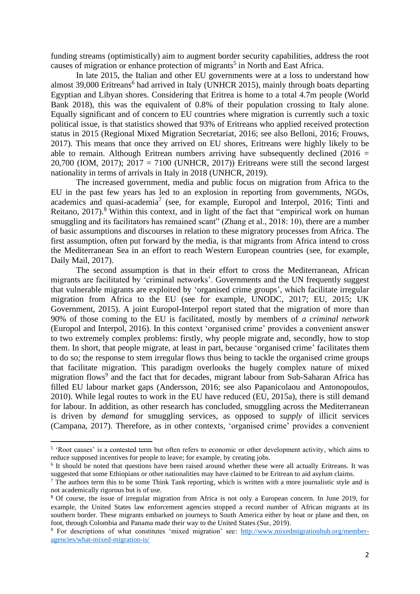funding streams (optimistically) aim to augment border security capabilities, address the root causes of migration or enhance protection of migrants<sup>5</sup> in North and East Africa.

In late 2015, the Italian and other EU governments were at a loss to understand how almost 39,000 Eritreans<sup>6</sup> had arrived in Italy (UNHCR 2015), mainly through boats departing Egyptian and Libyan shores. Considering that Eritrea is home to a total 4.7m people (World Bank 2018), this was the equivalent of 0.8% of their population crossing to Italy alone. Equally significant and of concern to EU countries where migration is currently such a toxic political issue, is that statistics showed that 93% of Eritreans who applied received protection status in 2015 (Regional Mixed Migration Secretariat, 2016; see also Belloni, 2016; Frouws, 2017). This means that once they arrived on EU shores, Eritreans were highly likely to be able to remain. Although Eritrean numbers arriving have subsequently declined  $(2016 =$  $20,700$  (IOM,  $2017$ );  $2017 = 7100$  (UNHCR, 2017)) Eritreans were still the second largest nationality in terms of arrivals in Italy in 2018 (UNHCR, 2019).

The increased government, media and public focus on migration from Africa to the EU in the past few years has led to an explosion in reporting from governments, NGOs, academics and quasi-academia<sup>7</sup> (see, for example, Europol and Interpol, 2016; Tinti and Reitano, 2017).<sup>8</sup> Within this context, and in light of the fact that "empirical work on human smuggling and its facilitators has remained scant" (Zhang et al., 2018: 10), there are a number of basic assumptions and discourses in relation to these migratory processes from Africa. The first assumption, often put forward by the media, is that migrants from Africa intend to cross the Mediterranean Sea in an effort to reach Western European countries (see, for example, Daily Mail, 2017).

The second assumption is that in their effort to cross the Mediterranean, African migrants are facilitated by 'criminal networks'. Governments and the UN frequently suggest that vulnerable migrants are exploited by 'organised crime groups', which facilitate irregular migration from Africa to the EU (see for example, UNODC, 2017; EU, 2015; UK Government, 2015). A joint Europol-Interpol report stated that the migration of more than 90% of those coming to the EU is facilitated, mostly by members of *a criminal network* (Europol and Interpol, 2016). In this context 'organised crime' provides a convenient answer to two extremely complex problems: firstly, why people migrate and, secondly, how to stop them. In short, that people migrate, at least in part, because 'organised crime' facilitates them to do so; the response to stem irregular flows thus being to tackle the organised crime groups that facilitate migration. This paradigm overlooks the hugely complex nature of mixed migration flows<sup>9</sup> and the fact that for decades, migrant labour from Sub-Saharan Africa has filled EU labour market gaps (Andersson, 2016; see also Papanicolaou and Antonopoulos, 2010). While legal routes to work in the EU have reduced (EU, 2015a), there is still demand for labour. In addition, as other research has concluded, smuggling across the Mediterranean is driven by *demand* for smuggling services, as opposed to *supply* of illicit services (Campana, 2017). Therefore, as in other contexts, 'organised crime' provides a convenient

<sup>&</sup>lt;sup>5</sup> 'Root causes' is a contested term but often refers to economic or other development activity, which aims to reduce supposed incentives for people to leave; for example, by creating jobs.

<sup>&</sup>lt;sup>6</sup> It should be noted that questions have been raised around whether these were all actually Eritreans. It was suggested that some Ethiopians or other nationalities may have claimed to be Eritrean to aid asylum claims.

<sup>&</sup>lt;sup>7</sup> The authors term this to be some Think Tank reporting, which is written with a more journalistic style and is not academically rigorous but is of use.

<sup>8</sup> Of course, the issue of irregular migration from Africa is not only a European concern. In June 2019, for example, the United States law enforcement agencies stopped a record number of African migrants at its southern border. These migrants embarked on journeys to South America either by boat or plane and then, on foot, through Colombia and Panama made their way to the United States (Sur, 2019).

<sup>9</sup> For descriptions of what constitutes 'mixed migration' see: [http://www.mixedmigrationhub.org/member](http://www.mixedmigrationhub.org/member-agencies/what-mixed-migration-is/)[agencies/what-mixed-migration-is/](http://www.mixedmigrationhub.org/member-agencies/what-mixed-migration-is/)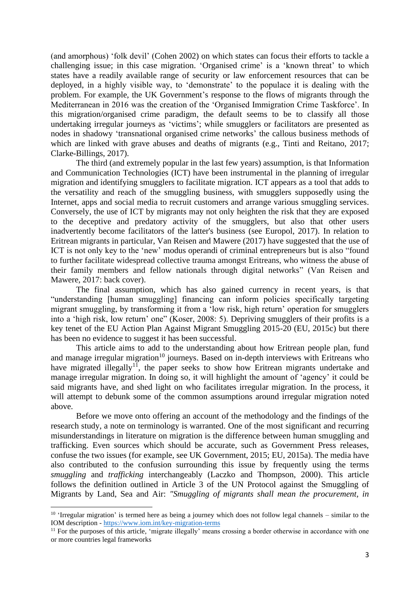(and amorphous) 'folk devil' (Cohen 2002) on which states can focus their efforts to tackle a challenging issue; in this case migration. 'Organised crime' is a 'known threat' to which states have a readily available range of security or law enforcement resources that can be deployed, in a highly visible way, to 'demonstrate' to the populace it is dealing with the problem. For example, the UK Government's response to the flows of migrants through the Mediterranean in 2016 was the creation of the 'Organised Immigration Crime Taskforce'. In this migration/organised crime paradigm, the default seems to be to classify all those undertaking irregular journeys as 'victims'; while smugglers or facilitators are presented as nodes in shadowy 'transnational organised crime networks' the callous business methods of which are linked with grave abuses and deaths of migrants (e.g., Tinti and Reitano, 2017; Clarke-Billings, 2017).

The third (and extremely popular in the last few years) assumption, is that Information and Communication Technologies (ICT) have been instrumental in the planning of irregular migration and identifying smugglers to facilitate migration. ICT appears as a tool that adds to the versatility and reach of the smuggling business, with smugglers supposedly using the Internet, apps and social media to recruit customers and arrange various smuggling services. Conversely, the use of ICT by migrants may not only heighten the risk that they are exposed to the deceptive and predatory activity of the smugglers, but also that other users inadvertently become facilitators of the latter's business (see Europol, 2017). In relation to Eritrean migrants in particular, Van Reisen and Mawere (2017) have suggested that the use of ICT is not only key to the 'new' modus operandi of criminal entrepreneurs but is also "found to further facilitate widespread collective trauma amongst Eritreans, who witness the abuse of their family members and fellow nationals through digital networks" (Van Reisen and Mawere, 2017: back cover).

The final assumption, which has also gained currency in recent years, is that "understanding [human smuggling] financing can inform policies specifically targeting migrant smuggling, by transforming it from a 'low risk, high return' operation for smugglers into a 'high risk, low return' one" (Koser, 2008: 5). Depriving smugglers of their profits is a key tenet of the EU Action Plan Against Migrant Smuggling 2015-20 (EU, 2015c) but there has been no evidence to suggest it has been successful.

This article aims to add to the understanding about how Eritrean people plan, fund and manage irregular migration<sup>10</sup> journeys. Based on in-depth interviews with Eritreans who have migrated illegally<sup>11</sup>, the paper seeks to show how Eritrean migrants undertake and manage irregular migration. In doing so, it will highlight the amount of 'agency' it could be said migrants have, and shed light on who facilitates irregular migration. In the process, it will attempt to debunk some of the common assumptions around irregular migration noted above.

Before we move onto offering an account of the methodology and the findings of the research study, a note on terminology is warranted. One of the most significant and recurring misunderstandings in literature on migration is the difference between human smuggling and trafficking. Even sources which should be accurate, such as Government Press releases, confuse the two issues (for example, see UK Government, 2015; EU, 2015a). The media have also contributed to the confusion surrounding this issue by frequently using the terms *smuggling* and *trafficking* interchangeably (Laczko and Thompson, 2000). This article follows the definition outlined in Article 3 of the UN Protocol against the Smuggling of Migrants by Land, Sea and Air: *"Smuggling of migrants shall mean the procurement, in* 

<sup>&</sup>lt;sup>10</sup> 'Irregular migration' is termed here as being a journey which does not follow legal channels – similar to the IOM description - <https://www.iom.int/key-migration-terms>

<sup>&</sup>lt;sup>11</sup> For the purposes of this article, 'migrate illegally' means crossing a border otherwise in accordance with one or more countries legal frameworks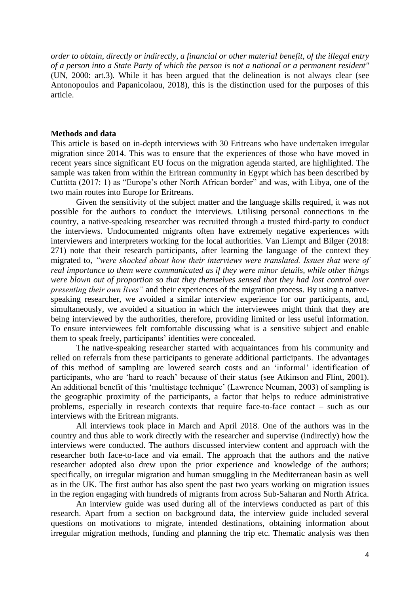*order to obtain, directly or indirectly, a financial or other material benefit, of the illegal entry of a person into a State Party of which the person is not a national or a permanent resident"* (UN, 2000: art.3)*.* While it has been argued that the delineation is not always clear (see Antonopoulos and Papanicolaou, 2018), this is the distinction used for the purposes of this article.

### **Methods and data**

This article is based on in-depth interviews with 30 Eritreans who have undertaken irregular migration since 2014. This was to ensure that the experiences of those who have moved in recent years since significant EU focus on the migration agenda started, are highlighted. The sample was taken from within the Eritrean community in Egypt which has been described by Cuttitta (2017: 1) as "Europe's other North African border" and was, with Libya, one of the two main routes into Europe for Eritreans.

Given the sensitivity of the subject matter and the language skills required, it was not possible for the authors to conduct the interviews. Utilising personal connections in the country, a native-speaking researcher was recruited through a trusted third-party to conduct the interviews. Undocumented migrants often have extremely negative experiences with interviewers and interpreters working for the local authorities. Van Liempt and Bilger (2018: 271) note that their research participants, after learning the language of the context they migrated to, *"were shocked about how their interviews were translated. Issues that were of real importance to them were communicated as if they were minor details, while other things were blown out of proportion so that they themselves sensed that they had lost control over presenting their own lives"* and their experiences of the migration process. By using a nativespeaking researcher, we avoided a similar interview experience for our participants, and, simultaneously, we avoided a situation in which the interviewees might think that they are being interviewed by the authorities, therefore, providing limited or less useful information. To ensure interviewees felt comfortable discussing what is a sensitive subject and enable them to speak freely, participants' identities were concealed.

The native-speaking researcher started with acquaintances from his community and relied on referrals from these participants to generate additional participants. The advantages of this method of sampling are lowered search costs and an 'informal' identification of participants, who are 'hard to reach' because of their status (see Atkinson and Flint, 2001). An additional benefit of this 'multistage technique' (Lawrence Neuman, 2003) of sampling is the geographic proximity of the participants, a factor that helps to reduce administrative problems, especially in research contexts that require face-to-face contact – such as our interviews with the Eritrean migrants.

All interviews took place in March and April 2018. One of the authors was in the country and thus able to work directly with the researcher and supervise (indirectly) how the interviews were conducted. The authors discussed interview content and approach with the researcher both face-to-face and via email. The approach that the authors and the native researcher adopted also drew upon the prior experience and knowledge of the authors; specifically, on irregular migration and human smuggling in the Mediterranean basin as well as in the UK. The first author has also spent the past two years working on migration issues in the region engaging with hundreds of migrants from across Sub-Saharan and North Africa.

An interview guide was used during all of the interviews conducted as part of this research. Apart from a section on background data, the interview guide included several questions on motivations to migrate, intended destinations, obtaining information about irregular migration methods, funding and planning the trip etc. Thematic analysis was then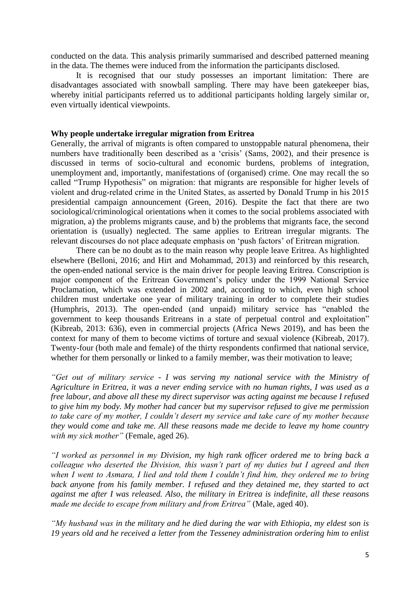conducted on the data. This analysis primarily summarised and described patterned meaning in the data. The themes were induced from the information the participants disclosed.

It is recognised that our study possesses an important limitation: There are disadvantages associated with snowball sampling. There may have been gatekeeper bias, whereby initial participants referred us to additional participants holding largely similar or, even virtually identical viewpoints.

### **Why people undertake irregular migration from Eritrea**

Generally, the arrival of migrants is often compared to unstoppable natural phenomena, their numbers have traditionally been described as a 'crisis' (Sams, 2002), and their presence is discussed in terms of socio-cultural and economic burdens, problems of integration, unemployment and, importantly, manifestations of (organised) crime. One may recall the so called "Trump Hypothesis" on migration: that migrants are responsible for higher levels of violent and drug‐related crime in the United States, as asserted by Donald Trump in his 2015 presidential campaign announcement (Green, 2016). Despite the fact that there are two sociological/criminological orientations when it comes to the social problems associated with migration, a) the problems migrants cause, and b) the problems that migrants face, the second orientation is (usually) neglected. The same applies to Eritrean irregular migrants. The relevant discourses do not place adequate emphasis on 'push factors' of Eritrean migration.

There can be no doubt as to the main reason why people leave Eritrea. As highlighted elsewhere (Belloni, 2016; and Hirt and Mohammad, 2013) and reinforced by this research, the open-ended national service is the main driver for people leaving Eritrea. Conscription is major component of the Eritrean Government's policy under the 1999 National Service Proclamation, which was extended in 2002 and, according to which, even high school children must undertake one year of military training in order to complete their studies (Humphris, 2013). The open-ended (and unpaid) military service has "enabled the government to keep thousands Eritreans in a state of perpetual control and exploitation" (Kibreab, 2013: 636), even in commercial projects (Africa News 2019), and has been the context for many of them to become victims of torture and sexual violence (Kibreab, 2017). Twenty-four (both male and female) of the thirty respondents confirmed that national service, whether for them personally or linked to a family member, was their motivation to leave;

*"Get out of military service - I was serving my national service with the Ministry of Agriculture in Eritrea, it was a never ending service with no human rights, I was used as a free labour, and above all these my direct supervisor was acting against me because I refused to give him my body. My mother had cancer but my supervisor refused to give me permission to take care of my mother, I couldn't desert my service and take care of my mother because they would come and take me. All these reasons made me decide to leave my home country with my sick mother"* (Female, aged 26).

*"I worked as personnel in my Division, my high rank officer ordered me to bring back a colleague who deserted the Division, this wasn't part of my duties but I agreed and then when I went to Asmara, I lied and told them I couldn't find him, they ordered me to bring back anyone from his family member. I refused and they detained me, they started to act against me after I was released. Also, the military in Eritrea is indefinite, all these reasons made me decide to escape from military and from Eritrea"* (Male, aged 40).

*"My husband was in the military and he died during the war with Ethiopia, my eldest son is 19 years old and he received a letter from the Tesseney administration ordering him to enlist*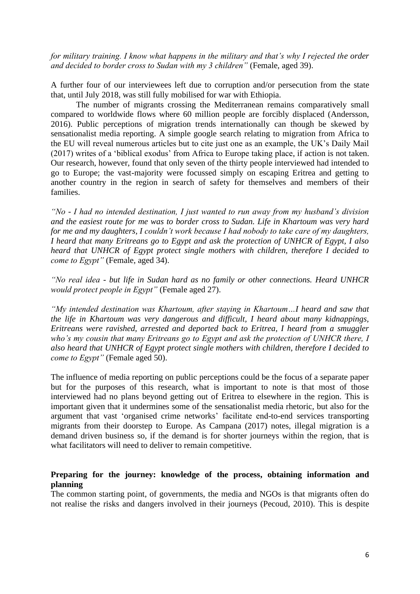*for military training. I know what happens in the military and that's why I rejected the order and decided to border cross to Sudan with my 3 children"* (Female, aged 39).

A further four of our interviewees left due to corruption and/or persecution from the state that, until July 2018, was still fully mobilised for war with Ethiopia.

The number of migrants crossing the Mediterranean remains comparatively small compared to worldwide flows where 60 million people are forcibly displaced (Andersson, 2016). Public perceptions of migration trends internationally can though be skewed by sensationalist media reporting. A simple google search relating to migration from Africa to the EU will reveal numerous articles but to cite just one as an example, the UK's Daily Mail (2017) writes of a 'biblical exodus' from Africa to Europe taking place, if action is not taken. Our research, however, found that only seven of the thirty people interviewed had intended to go to Europe; the vast-majority were focussed simply on escaping Eritrea and getting to another country in the region in search of safety for themselves and members of their families.

*"No - I had no intended destination, I just wanted to run away from my husband's division and the easiest route for me was to border cross to Sudan. Life in Khartoum was very hard for me and my daughters, I couldn't work because I had nobody to take care of my daughters, I heard that many Eritreans go to Egypt and ask the protection of UNHCR of Egypt, I also heard that UNHCR of Egypt protect single mothers with children, therefore I decided to come to Egypt"* (Female, aged 34).

*"No real idea - but life in Sudan hard as no family or other connections. Heard UNHCR would protect people in Egypt"* (Female aged 27).

*"My intended destination was Khartoum, after staying in Khartoum…I heard and saw that the life in Khartoum was very dangerous and difficult, I heard about many kidnappings, Eritreans were ravished, arrested and deported back to Eritrea, I heard from a smuggler who's my cousin that many Eritreans go to Egypt and ask the protection of UNHCR there, I also heard that UNHCR of Egypt protect single mothers with children, therefore I decided to come to Egypt"* (Female aged 50).

The influence of media reporting on public perceptions could be the focus of a separate paper but for the purposes of this research, what is important to note is that most of those interviewed had no plans beyond getting out of Eritrea to elsewhere in the region. This is important given that it undermines some of the sensationalist media rhetoric, but also for the argument that vast 'organised crime networks' facilitate end-to-end services transporting migrants from their doorstep to Europe. As Campana (2017) notes, illegal migration is a demand driven business so, if the demand is for shorter journeys within the region, that is what facilitators will need to deliver to remain competitive.

## **Preparing for the journey: knowledge of the process, obtaining information and planning**

The common starting point, of governments, the media and NGOs is that migrants often do not realise the risks and dangers involved in their journeys (Pecoud, 2010). This is despite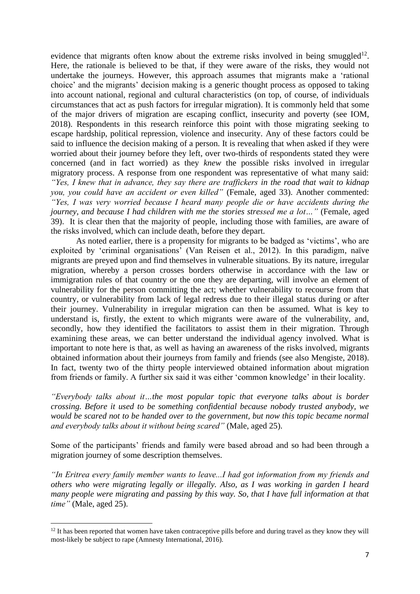evidence that migrants often know about the extreme risks involved in being smuggled<sup>12</sup>. Here, the rationale is believed to be that, if they were aware of the risks, they would not undertake the journeys. However, this approach assumes that migrants make a 'rational choice' and the migrants' decision making is a generic thought process as opposed to taking into account national, regional and cultural characteristics (on top, of course, of individuals circumstances that act as push factors for irregular migration). It is commonly held that some of the major drivers of migration are escaping conflict, insecurity and poverty (see IOM, 2018). Respondents in this research reinforce this point with those migrating seeking to escape hardship, political repression, violence and insecurity. Any of these factors could be said to influence the decision making of a person. It is revealing that when asked if they were worried about their journey before they left, over two-thirds of respondents stated they were concerned (and in fact worried) as they *knew* the possible risks involved in irregular migratory process. A response from one respondent was representative of what many said: *"Yes, I knew that in advance, they say there are traffickers in the road that wait to kidnap you, you could have an accident or even killed"* (Female, aged 33). Another commented: *"Yes, I was very worried because I heard many people die or have accidents during the journey, and because I had children with me the stories stressed me a lot...*" (Female, aged 39). It is clear then that the majority of people, including those with families, are aware of the risks involved, which can include death, before they depart.

As noted earlier, there is a propensity for migrants to be badged as 'victims', who are exploited by 'criminal organisations' (Van Reisen et al., 2012). In this paradigm, naïve migrants are preyed upon and find themselves in vulnerable situations. By its nature, irregular migration, whereby a person crosses borders otherwise in accordance with the law or immigration rules of that country or the one they are departing, will involve an element of vulnerability for the person committing the act; whether vulnerability to recourse from that country, or vulnerability from lack of legal redress due to their illegal status during or after their journey. Vulnerability in irregular migration can then be assumed. What is key to understand is, firstly, the extent to which migrants were aware of the vulnerability, and, secondly, how they identified the facilitators to assist them in their migration. Through examining these areas, we can better understand the individual agency involved. What is important to note here is that, as well as having an awareness of the risks involved, migrants obtained information about their journeys from family and friends (see also Mengiste, 2018). In fact, twenty two of the thirty people interviewed obtained information about migration from friends or family. A further six said it was either 'common knowledge' in their locality.

*"Everybody talks about it…the most popular topic that everyone talks about is border crossing. Before it used to be something confidential because nobody trusted anybody, we would be scared not to be handed over to the government, but now this topic became normal and everybody talks about it without being scared"* (Male, aged 25).

Some of the participants' friends and family were based abroad and so had been through a migration journey of some description themselves.

*"In Eritrea every family member wants to leave...I had got information from my friends and others who were migrating legally or illegally. Also, as I was working in garden I heard many people were migrating and passing by this way. So, that I have full information at that time"* (Male, aged 25).

<sup>&</sup>lt;sup>12</sup> It has been reported that women have taken contraceptive pills before and during travel as they know they will most-likely be subject to rape (Amnesty International, 2016).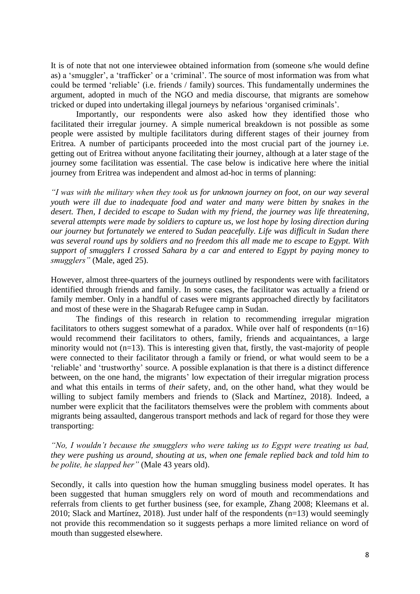It is of note that not one interviewee obtained information from (someone s/he would define as) a 'smuggler', a 'trafficker' or a 'criminal'. The source of most information was from what could be termed 'reliable' (i.e. friends / family) sources. This fundamentally undermines the argument, adopted in much of the NGO and media discourse, that migrants are somehow tricked or duped into undertaking illegal journeys by nefarious 'organised criminals'.

Importantly, our respondents were also asked how they identified those who facilitated their irregular journey. A simple numerical breakdown is not possible as some people were assisted by multiple facilitators during different stages of their journey from Eritrea. A number of participants proceeded into the most crucial part of the journey i.e. getting out of Eritrea without anyone facilitating their journey, although at a later stage of the journey some facilitation was essential. The case below is indicative here where the initial journey from Eritrea was independent and almost ad-hoc in terms of planning:

*"I was with the military when they took us for unknown journey on foot, on our way several youth were ill due to inadequate food and water and many were bitten by snakes in the desert. Then, I decided to escape to Sudan with my friend, the journey was life threatening, several attempts were made by soldiers to capture us, we lost hope by losing direction during our journey but fortunately we entered to Sudan peacefully. Life was difficult in Sudan there was several round ups by soldiers and no freedom this all made me to escape to Egypt. With support of smugglers I crossed Sahara by a car and entered to Egypt by paying money to smugglers"* (Male, aged 25).

However, almost three-quarters of the journeys outlined by respondents were with facilitators identified through friends and family. In some cases, the facilitator was actually a friend or family member. Only in a handful of cases were migrants approached directly by facilitators and most of these were in the Shagarab Refugee camp in Sudan.

The findings of this research in relation to recommending irregular migration facilitators to others suggest somewhat of a paradox. While over half of respondents  $(n=16)$ would recommend their facilitators to others, family, friends and acquaintances, a large minority would not (n=13). This is interesting given that, firstly, the vast-majority of people were connected to their facilitator through a family or friend, or what would seem to be a 'reliable' and 'trustworthy' source. A possible explanation is that there is a distinct difference between, on the one hand, the migrants' low expectation of their irregular migration process and what this entails in terms of *their* safety, and, on the other hand, what they would be willing to subject family members and friends to (Slack and Martínez, 2018). Indeed, a number were explicit that the facilitators themselves were the problem with comments about migrants being assaulted, dangerous transport methods and lack of regard for those they were transporting:

### *"No, I wouldn't because the smugglers who were taking us to Egypt were treating us bad, they were pushing us around, shouting at us, when one female replied back and told him to be polite, he slapped her"* (Male 43 years old).

Secondly, it calls into question how the human smuggling business model operates. It has been suggested that human smugglers rely on word of mouth and recommendations and referrals from clients to get further business (see, for example, Zhang 2008; Kleemans et al. 2010; Slack and Martínez, 2018). Just under half of the respondents  $(n=13)$  would seemingly not provide this recommendation so it suggests perhaps a more limited reliance on word of mouth than suggested elsewhere.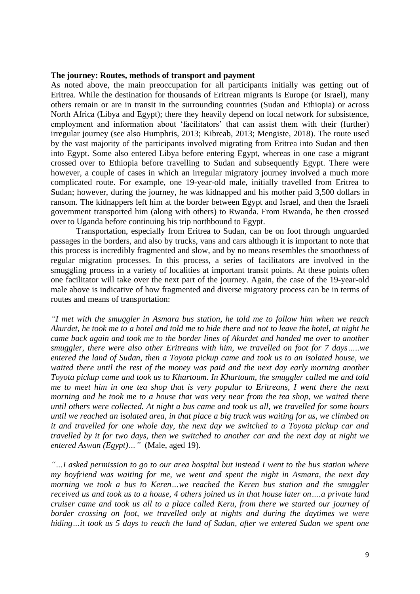#### **The journey: Routes, methods of transport and payment**

As noted above, the main preoccupation for all participants initially was getting out of Eritrea. While the destination for thousands of Eritrean migrants is Europe (or Israel), many others remain or are in transit in the surrounding countries (Sudan and Ethiopia) or across North Africa (Libya and Egypt); there they heavily depend on local network for subsistence, employment and information about 'facilitators' that can assist them with their (further) irregular journey (see also Humphris, 2013; Kibreab, 2013; Mengiste, 2018). The route used by the vast majority of the participants involved migrating from Eritrea into Sudan and then into Egypt. Some also entered Libya before entering Egypt, whereas in one case a migrant crossed over to Ethiopia before travelling to Sudan and subsequently Egypt. There were however, a couple of cases in which an irregular migratory journey involved a much more complicated route. For example, one 19-year-old male, initially travelled from Eritrea to Sudan; however, during the journey, he was kidnapped and his mother paid 3,500 dollars in ransom. The kidnappers left him at the border between Egypt and Israel, and then the Israeli government transported him (along with others) to Rwanda. From Rwanda, he then crossed over to Uganda before continuing his trip northbound to Egypt.

Transportation, especially from Eritrea to Sudan, can be on foot through unguarded passages in the borders, and also by trucks, vans and cars although it is important to note that this process is incredibly fragmented and slow, and by no means resembles the smoothness of regular migration processes. In this process, a series of facilitators are involved in the smuggling process in a variety of localities at important transit points. At these points often one facilitator will take over the next part of the journey. Again, the case of the 19-year-old male above is indicative of how fragmented and diverse migratory process can be in terms of routes and means of transportation:

*"I met with the smuggler in Asmara bus station, he told me to follow him when we reach Akurdet, he took me to a hotel and told me to hide there and not to leave the hotel, at night he came back again and took me to the border lines of Akurdet and handed me over to another smuggler, there were also other Eritreans with him, we travelled on foot for 7 days…..we entered the land of Sudan, then a Toyota pickup came and took us to an isolated house, we waited there until the rest of the money was paid and the next day early morning another Toyota pickup came and took us to Khartoum. In Khartoum, the smuggler called me and told me to meet him in one tea shop that is very popular to Eritreans, I went there the next morning and he took me to a house that was very near from the tea shop, we waited there until others were collected. At night a bus came and took us all, we travelled for some hours until we reached an isolated area, in that place a big truck was waiting for us, we climbed on it and travelled for one whole day, the next day we switched to a Toyota pickup car and travelled by it for two days, then we switched to another car and the next day at night we entered Aswan (Egypt)…"* (Male, aged 19)*.* 

*"…I asked permission to go to our area hospital but instead I went to the bus station where my boyfriend was waiting for me, we went and spent the night in Asmara, the next day morning we took a bus to Keren…we reached the Keren bus station and the smuggler received us and took us to a house, 4 others joined us in that house later on….a private land cruiser came and took us all to a place called Keru, from there we started our journey of border crossing on foot, we travelled only at nights and during the daytimes we were hiding…it took us 5 days to reach the land of Sudan, after we entered Sudan we spent one*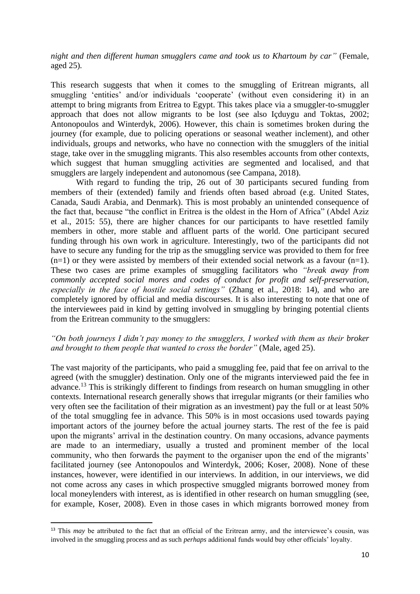*night and then different human smugglers came and took us to Khartoum by car"* (Female, aged 25)*.*

This research suggests that when it comes to the smuggling of Eritrean migrants, all smuggling 'entities' and/or individuals 'cooperate' (without even considering it) in an attempt to bring migrants from Eritrea to Egypt. This takes place via a smuggler-to-smuggler approach that does not allow migrants to be lost (see also Içduygu and Toktas, 2002; Antonopoulos and Winterdyk, 2006). However, this chain is sometimes broken during the journey (for example, due to policing operations or seasonal weather inclement), and other individuals, groups and networks, who have no connection with the smugglers of the initial stage, take over in the smuggling migrants. This also resembles accounts from other contexts, which suggest that human smuggling activities are segmented and localised, and that smugglers are largely independent and autonomous (see Campana, 2018).

With regard to funding the trip, 26 out of 30 participants secured funding from members of their (extended) family and friends often based abroad (e.g. United States, Canada, Saudi Arabia, and Denmark). This is most probably an unintended consequence of the fact that, because "the conflict in Eritrea is the oldest in the Horn of Africa" (Abdel Aziz et al., 2015: 55), there are higher chances for our participants to have resettled family members in other, more stable and affluent parts of the world. One participant secured funding through his own work in agriculture. Interestingly, two of the participants did not have to secure any funding for the trip as the smuggling service was provided to them for free  $(n=1)$  or they were assisted by members of their extended social network as a favour  $(n=1)$ . These two cases are prime examples of smuggling facilitators who *"break away from commonly accepted social mores and codes of conduct for profit and self-preservation, especially in the face of hostile social settings"* (Zhang et al., 2018: 14), and who are completely ignored by official and media discourses. It is also interesting to note that one of the interviewees paid in kind by getting involved in smuggling by bringing potential clients from the Eritrean community to the smugglers:

### *"On both journeys I didn't pay money to the smugglers, I worked with them as their broker and brought to them people that wanted to cross the border"* (Male, aged 25).

The vast majority of the participants, who paid a smuggling fee, paid that fee on arrival to the agreed (with the smuggler) destination. Only one of the migrants interviewed paid the fee in advance.<sup>13</sup> This is strikingly different to findings from research on human smuggling in other contexts. International research generally shows that irregular migrants (or their families who very often see the facilitation of their migration as an investment) pay the full or at least 50% of the total smuggling fee in advance. This 50% is in most occasions used towards paying important actors of the journey before the actual journey starts. The rest of the fee is paid upon the migrants' arrival in the destination country. On many occasions, advance payments are made to an intermediary, usually a trusted and prominent member of the local community, who then forwards the payment to the organiser upon the end of the migrants' facilitated journey (see Antonopoulos and Winterdyk, 2006; Koser, 2008). None of these instances, however, were identified in our interviews. In addition, in our interviews, we did not come across any cases in which prospective smuggled migrants borrowed money from local moneylenders with interest, as is identified in other research on human smuggling (see, for example, Koser, 2008). Even in those cases in which migrants borrowed money from

<sup>&</sup>lt;sup>13</sup> This *may* be attributed to the fact that an official of the Eritrean army, and the interviewee's cousin, was involved in the smuggling process and as such *perhaps* additional funds would buy other officials' loyalty.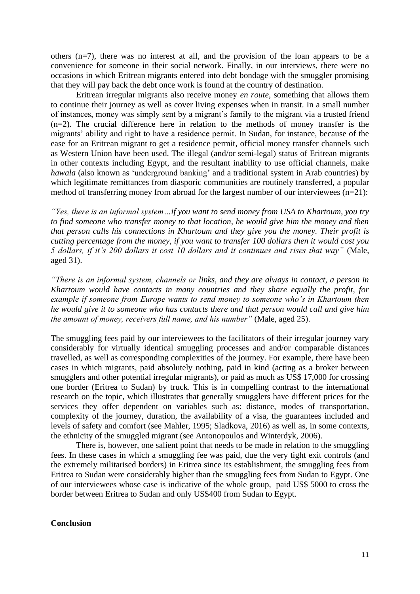others (n=7), there was no interest at all, and the provision of the loan appears to be a convenience for someone in their social network. Finally, in our interviews, there were no occasions in which Eritrean migrants entered into debt bondage with the smuggler promising that they will pay back the debt once work is found at the country of destination.

Eritrean irregular migrants also receive money *en route*, something that allows them to continue their journey as well as cover living expenses when in transit. In a small number of instances, money was simply sent by a migrant's family to the migrant via a trusted friend (n=2). The crucial difference here in relation to the methods of money transfer is the migrants' ability and right to have a residence permit. In Sudan, for instance, because of the ease for an Eritrean migrant to get a residence permit, official money transfer channels such as Western Union have been used. The illegal (and/or semi-legal) status of Eritrean migrants in other contexts including Egypt, and the resultant inability to use official channels, make *hawala* (also known as 'underground banking' and a traditional system in Arab countries) by which legitimate remittances from diasporic communities are routinely transferred, a popular method of transferring money from abroad for the largest number of our interviewees  $(n=21)$ :

*"Yes, there is an informal system…if you want to send money from USA to Khartoum, you try to find someone who transfer money to that location, he would give him the money and then that person calls his connections in Khartoum and they give you the money. Their profit is cutting percentage from the money, if you want to transfer 100 dollars then it would cost you 5 dollars, if it's 200 dollars it cost 10 dollars and it continues and rises that way"* (Male, aged 31).

*"There is an informal system, channels or links, and they are always in contact, a person in Khartoum would have contacts in many countries and they share equally the profit, for example if someone from Europe wants to send money to someone who's in Khartoum then he would give it to someone who has contacts there and that person would call and give him the amount of money, receivers full name, and his number"* (Male, aged 25).

The smuggling fees paid by our interviewees to the facilitators of their irregular journey vary considerably for virtually identical smuggling processes and and/or comparable distances travelled, as well as corresponding complexities of the journey. For example, there have been cases in which migrants, paid absolutely nothing, paid in kind (acting as a broker between smugglers and other potential irregular migrants), or paid as much as US\$ 17,000 for crossing one border (Eritrea to Sudan) by truck. This is in compelling contrast to the international research on the topic, which illustrates that generally smugglers have different prices for the services they offer dependent on variables such as: distance, modes of transportation, complexity of the journey, duration, the availability of a visa, the guarantees included and levels of safety and comfort (see Mahler, 1995; Sladkova, 2016) as well as, in some contexts, the ethnicity of the smuggled migrant (see Antonopoulos and Winterdyk, 2006).

There is, however, one salient point that needs to be made in relation to the smuggling fees. In these cases in which a smuggling fee was paid, due the very tight exit controls (and the extremely militarised borders) in Eritrea since its establishment, the smuggling fees from Eritrea to Sudan were considerably higher than the smuggling fees from Sudan to Egypt. One of our interviewees whose case is indicative of the whole group, paid US\$ 5000 to cross the border between Eritrea to Sudan and only US\$400 from Sudan to Egypt.

### **Conclusion**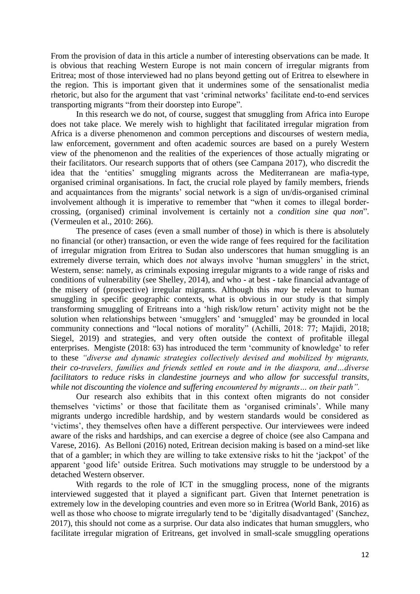From the provision of data in this article a number of interesting observations can be made. It is obvious that reaching Western Europe is not main concern of irregular migrants from Eritrea; most of those interviewed had no plans beyond getting out of Eritrea to elsewhere in the region. This is important given that it undermines some of the sensationalist media rhetoric, but also for the argument that vast 'criminal networks' facilitate end-to-end services transporting migrants "from their doorstep into Europe".

In this research we do not, of course, suggest that smuggling from Africa into Europe does not take place. We merely wish to highlight that facilitated irregular migration from Africa is a diverse phenomenon and common perceptions and discourses of western media, law enforcement, government and often academic sources are based on a purely Western view of the phenomenon and the realities of the experiences of those actually migrating or their facilitators. Our research supports that of others (see Campana 2017), who discredit the idea that the 'entities' smuggling migrants across the Mediterranean are mafia-type, organised criminal organisations. In fact, the crucial role played by family members, friends and acquaintances from the migrants' social network is a sign of un/dis-organised criminal involvement although it is imperative to remember that "when it comes to illegal bordercrossing, (organised) criminal involvement is certainly not a *condition sine qua non*". (Vermeulen et al., 2010: 266).

The presence of cases (even a small number of those) in which is there is absolutely no financial (or other) transaction, or even the wide range of fees required for the facilitation of irregular migration from Eritrea to Sudan also underscores that human smuggling is an extremely diverse terrain, which does *not* always involve 'human smugglers' in the strict, Western, sense: namely, as criminals exposing irregular migrants to a wide range of risks and conditions of vulnerability (see Shelley, 2014), and who - at best - take financial advantage of the misery of (prospective) irregular migrants. Although this *may* be relevant to human smuggling in specific geographic contexts, what is obvious in our study is that simply transforming smuggling of Eritreans into a 'high risk/low return' activity might not be the solution when relationships between 'smugglers' and 'smuggled' may be grounded in local community connections and "local notions of morality" (Achilli, 2018: 77; Majidi, 2018; Siegel, 2019) and strategies, and very often outside the context of profitable illegal enterprises. Mengiste (2018: 63) has introduced the term 'community of knowledge' to refer to these *"diverse and dynamic strategies collectively devised and mobilized by migrants, their co-travelers, families and friends settled en route and in the diaspora, and…diverse facilitators to reduce risks in clandestine journeys and who allow for successful transits, while not discounting the violence and suffering encountered by migrants… on their path".*

Our research also exhibits that in this context often migrants do not consider themselves 'victims' or those that facilitate them as 'organised criminals'. While many migrants undergo incredible hardship, and by western standards would be considered as 'victims', they themselves often have a different perspective. Our interviewees were indeed aware of the risks and hardships, and can exercise a degree of choice (see also Campana and Varese, 2016). As Belloni (2016) noted, Eritrean decision making is based on a mind-set like that of a gambler; in which they are willing to take extensive risks to hit the 'jackpot' of the apparent 'good life' outside Eritrea. Such motivations may struggle to be understood by a detached Western observer.

With regards to the role of ICT in the smuggling process, none of the migrants interviewed suggested that it played a significant part. Given that Internet penetration is extremely low in the developing countries and even more so in Eritrea (World Bank, 2016) as well as those who choose to migrate irregularly tend to be 'digitally disadvantaged' (Sanchez, 2017), this should not come as a surprise. Our data also indicates that human smugglers, who facilitate irregular migration of Eritreans, get involved in small-scale smuggling operations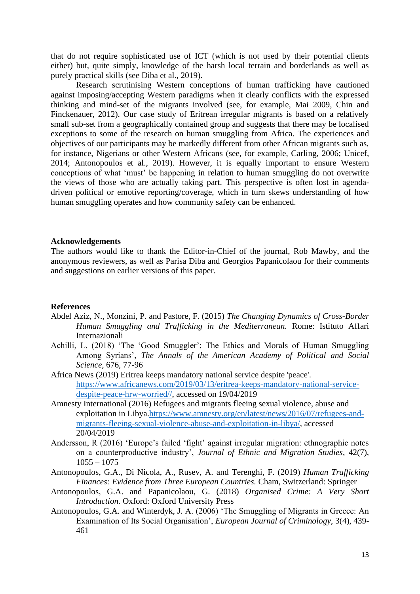that do not require sophisticated use of ICT (which is not used by their potential clients either) but, quite simply, knowledge of the harsh local terrain and borderlands as well as purely practical skills (see Diba et al., 2019).

Research scrutinising Western conceptions of human trafficking have cautioned against imposing/accepting Western paradigms when it clearly conflicts with the expressed thinking and mind-set of the migrants involved (see, for example, Mai 2009, Chin and Finckenauer, 2012). Our case study of Eritrean irregular migrants is based on a relatively small sub-set from a geographically contained group and suggests that there may be localised exceptions to some of the research on human smuggling from Africa. The experiences and objectives of our participants may be markedly different from other African migrants such as, for instance, Nigerians or other Western Africans (see, for example, Carling, 2006; Unicef, 2014; Antonopoulos et al., 2019). However, it is equally important to ensure Western conceptions of what 'must' be happening in relation to human smuggling do not overwrite the views of those who are actually taking part. This perspective is often lost in agendadriven political or emotive reporting/coverage, which in turn skews understanding of how human smuggling operates and how community safety can be enhanced.

### **Acknowledgements**

The authors would like to thank the Editor-in-Chief of the journal, Rob Mawby, and the anonymous reviewers, as well as Parisa Diba and Georgios Papanicolaou for their comments and suggestions on earlier versions of this paper.

#### **References**

- Abdel Aziz, N., Monzini, P. and Pastore, F. (2015) *The Changing Dynamics of Cross-Border Human Smuggling and Trafficking in the Mediterranean.* Rome: Istituto Affari Internazionali
- Achilli, L. (2018) 'The 'Good Smuggler': The Ethics and Morals of Human Smuggling Among Syrians', *The Annals of the American Academy of Political and Social Science,* 676, 77-96
- Africa News (2019) Eritrea keeps mandatory national service despite 'peace'*.*  [https://www.africanews.com/2019/03/13/eritrea-keeps-mandatory-national-service](https://www.africanews.com/2019/03/13/eritrea-keeps-mandatory-national-service-despite-peace-hrw-worried/)[despite-peace-hrw-worried//,](https://www.africanews.com/2019/03/13/eritrea-keeps-mandatory-national-service-despite-peace-hrw-worried/) accessed on 19/04/2019
- Amnesty International (2016) Refugees and migrants fleeing sexual violence, abuse and exploitation in Libya[.https://www.amnesty.org/en/latest/news/2016/07/refugees-and](https://www.amnesty.org/en/latest/news/2016/07/refugees-and-migrants-fleeing-sexual-violence-abuse-and-exploitation-in-libya/)[migrants-fleeing-sexual-violence-abuse-and-exploitation-in-libya/,](https://www.amnesty.org/en/latest/news/2016/07/refugees-and-migrants-fleeing-sexual-violence-abuse-and-exploitation-in-libya/) accessed 20/04/2019
- Andersson, R (2016) 'Europe's failed 'fight' against irregular migration: ethnographic notes on a counterproductive industry', *Journal of Ethnic and Migration Studies*, 42(7),  $1055 - 1075$
- Antonopoulos, G.A., Di Nicola, A., Rusev, A. and Terenghi, F. (2019) *Human Trafficking Finances: Evidence from Three European Countries.* Cham, Switzerland: Springer
- Antonopoulos, G.A. and Papanicolaou, G. (2018) *Organised Crime: A Very Short Introduction.* Oxford: Oxford University Press
- Antonopoulos, G.A. and Winterdyk, J. A. (2006) 'The Smuggling of Migrants in Greece: An Examination of Its Social Organisation', *European Journal of Criminology,* 3(4), 439- 461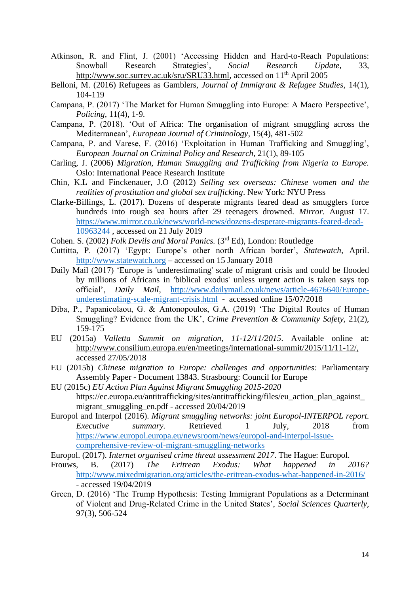- Atkinson, R. and Flint, J. (2001) 'Accessing Hidden and Hard-to-Reach Populations: Snowball Research Strategies', *Social Research Update,* 33, [http://www.soc.surrey.ac.uk/sru/SRU33.html,](http://www.soc.surrey.ac.uk/sru/SRU33.html) accessed on 11<sup>th</sup> April 2005
- Belloni, M. (2016) Refugees as Gamblers, *Journal of Immigrant & Refugee Studies*, 14(1), 104-119
- Campana, P. (2017) 'The Market for Human Smuggling into Europe: A Macro Perspective', *Policing*, 11(4), 1-9.
- Campana, P. (2018). 'Out of Africa: The organisation of migrant smuggling across the Mediterranean', *European Journal of Criminology*, 15(4), 481-502
- Campana, P. and Varese, F. (2016) 'Exploitation in Human Trafficking and Smuggling', *European Journal on Criminal Policy and Research*, 21(1), 89-105
- Carling, J. (2006) *Migration, Human Smuggling and Trafficking from Nigeria to Europe.*  Oslo: International Peace Research Institute
- Chin, K.L and Finckenauer, J.O (2012) *Selling sex overseas: Chinese women and the realities of prostitution and global sex trafficking*. New York: NYU Press
- Clarke-Billings, L. (2017). Dozens of desperate migrants feared dead as smugglers force hundreds into rough sea hours after 29 teenagers drowned. *Mirror*. August 17. [https://www.mirror.co.uk/news/world-news/dozens-desperate-migrants-feared-dead-](https://www.mirror.co.uk/news/world-news/dozens-desperate-migrants-feared-dead-10963244)[10963244](https://www.mirror.co.uk/news/world-news/dozens-desperate-migrants-feared-dead-10963244) , accessed on 21 July 2019
- Cohen. S. (2002) *Folk Devils and Moral Panics.* (3rd Ed), London: Routledge
- Cuttitta, P. (2017) 'Egypt: Europe's other north African border', *Statewatch,* April. [http://www.statewatch.org](http://www.statewatch.org/) – accessed on 15 January 2018
- Daily Mail (2017) 'Europe is 'underestimating' scale of migrant crisis and could be flooded by millions of Africans in 'biblical exodus' unless urgent action is taken says top official', *Daily Mail*, [http://www.dailymail.co.uk/news/article-4676640/Europe](http://www.dailymail.co.uk/news/article-4676640/Europe-underestimating-scale-migrant-crisis.html)[underestimating-scale-migrant-crisis.html](http://www.dailymail.co.uk/news/article-4676640/Europe-underestimating-scale-migrant-crisis.html) - accessed online 15/07/2018
- Diba, P., Papanicolaou, G. & Antonopoulos, G.A. (2019) 'The Digital Routes of Human Smuggling? Evidence from the UK', *Crime Prevention & Community Safety,* 21(2), 159-175
- EU (2015a) *Valletta Summit on migration, 11-12/11/2015*. Available online at: [http://www.consilium.europa.eu/en/meetings/international-summit/2015/11/11-12/,](http://www.consilium.europa.eu/en/meetings/international-summit/2015/11/11-12/) accessed 27/05/2018
- EU (2015b) *Chinese migration to Europe: challenges and opportunities:* Parliamentary Assembly Paper - Document 13843. Strasbourg: Council for Europe
- EU (2015c) *EU Action Plan Against Migrant Smuggling 2015-2020* https://ec.europa.eu/antitrafficking/sites/antitrafficking/files/eu\_action\_plan\_against\_ migrant\_smuggling\_en.pdf - accessed 20/04/2019
- Europol and Interpol (2016). *Migrant smuggling networks: joint Europol-INTERPOL report. Executive summary.* Retrieved 1 July, 2018 from [https://www.europol.europa.eu/newsroom/news/europol-and-interpol-issue](https://www.europol.europa.eu/newsroom/news/europol-and-interpol-issue-comprehensive-review-of-migrant-smuggling-networks)[comprehensive-review-of-migrant-smuggling-networks](https://www.europol.europa.eu/newsroom/news/europol-and-interpol-issue-comprehensive-review-of-migrant-smuggling-networks)
- Europol. (2017). *Internet organised crime threat assessment 2017*. The Hague: Europol.
- Frouws, B. (2017) *The Eritrean Exodus: What happened in 2016?*  <http://www.mixedmigration.org/articles/the-eritrean-exodus-what-happened-in-2016/> - accessed 19/04/2019
- Green, D. (2016) 'The Trump Hypothesis: Testing Immigrant Populations as a Determinant of Violent and Drug‐Related Crime in the United States', *Social Sciences Quarterly*, 97(3), 506-524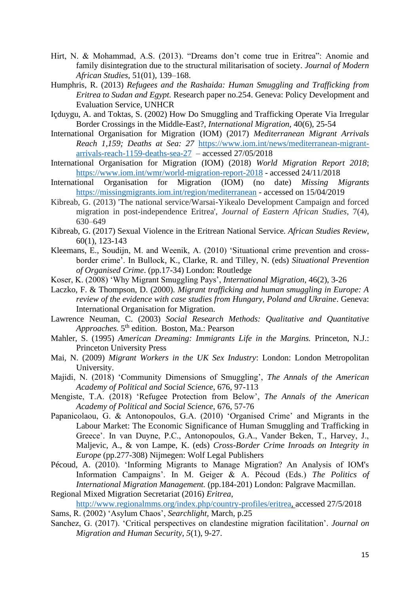- Hirt, N. & Mohammad, A.S. (2013). "Dreams don't come true in Eritrea": Anomie and family disintegration due to the structural militarisation of society. *Journal of Modern African Studies*, 51(01), 139–168.
- Humphris, R. (2013) *Refugees and the Rashaida: Human Smuggling and Trafficking from Eritrea to Sudan and Egypt.* Research paper no.254. Geneva: Policy Development and Evaluation Service, UNHCR
- Içduygu, A. and Toktas, S. (2002) How Do Smuggling and Trafficking Operate Via Irregular Border Crossings in the Middle-East?, *International Migration,* 40(6), 25-54
- International Organisation for Migration (IOM) (2017) *Mediterranean Migrant Arrivals Reach 1,159; Deaths at Sea: 27* [https://www.iom.int/news/mediterranean-migrant](https://www.iom.int/news/mediterranean-migrant-arrivals-reach-1159-deaths-sea-27)[arrivals-reach-1159-deaths-sea-27](https://www.iom.int/news/mediterranean-migrant-arrivals-reach-1159-deaths-sea-27) – accessed 27/05/2018
- International Organisation for Migration (IOM) (2018) *World Migration Report 2018*; <https://www.iom.int/wmr/world-migration-report-2018> - accessed 24/11/2018
- International Organisation for Migration (IOM) (no date) *Missing Migrants*  <https://missingmigrants.iom.int/region/mediterranean> - accessed on 15/04/2019
- Kibreab, G. (2013) 'The national service/Warsai-Yikealo Development Campaign and forced migration in post-independence Eritrea', *Journal of Eastern African Studies*, 7(4), 630–649
- Kibreab, G. (2017) Sexual Violence in the Eritrean National Service*. African Studies Review*, 60(1), 123-143
- Kleemans, E., Soudijn, M. and Weenik, A. (2010) 'Situational crime prevention and crossborder crime'. In Bullock, K., Clarke, R. and Tilley, N. (eds) *Situational Prevention of Organised Crime*. (pp.17-34) London: Routledge
- Koser, K. (2008) 'Why Migrant Smuggling Pays', *International Migration,* 46(2), 3-26
- Laczko, F. & Thompson, D. (2000). *Migrant trafficking and human smuggling in Europe: A review of the evidence with case studies from Hungary, Poland and Ukraine*. Geneva: International Organisation for Migration.
- Lawrence Neuman, C. (2003) *Social Research Methods: Qualitative and Quantitative*  Approaches. 5<sup>th</sup> edition. Boston, Ma.: Pearson
- Mahler, S. (1995) *American Dreaming: Immigrants Life in the Margins.* Princeton, N.J.: Princeton University Press
- Mai, N. (2009) *Migrant Workers in the UK Sex Industry*: London: London Metropolitan University.
- Majidi, N. (2018) 'Community Dimensions of Smuggling', *The Annals of the American Academy of Political and Social Science,* 676, 97-113
- Mengiste, T.A. (2018) 'Refugee Protection from Below', *The Annals of the American Academy of Political and Social Science,* 676, 57-76
- Papanicolaou, G. & Antonopoulos, G.A. (2010) 'Organised Crime' and Migrants in the Labour Market: The Economic Significance of Human Smuggling and Trafficking in Greece'. In van Duyne, P.C., Antonopoulos, G.A., Vander Beken, T., Harvey, J., Maljevic, A., & von Lampe, K. (eds) *Cross-Border Crime Inroads on Integrity in Europe* (pp.277-308) Nijmegen: Wolf Legal Publishers
- Pécoud, A. (2010). 'Informing Migrants to Manage Migration? An Analysis of IOM's Information Campaigns'. In M. Geiger & A. Pécoud (Eds.) *The Politics of International Migration Management.* (pp.184-201) London: Palgrave Macmillan.
- Regional Mixed Migration Secretariat (2016) *Eritrea*, [http://www.regionalmms.org/index.php/country-profiles/eritrea,](http://www.regionalmms.org/index.php/country-profiles/eritrea) accessed 27/5/2018
- Sams, R. (2002) 'Asylum Chaos', *Searchlight*, March, p.25
- Sanchez, G. (2017). 'Critical perspectives on clandestine migration facilitation'. *Journal on Migration and Human Security*, *5*(1), 9-27.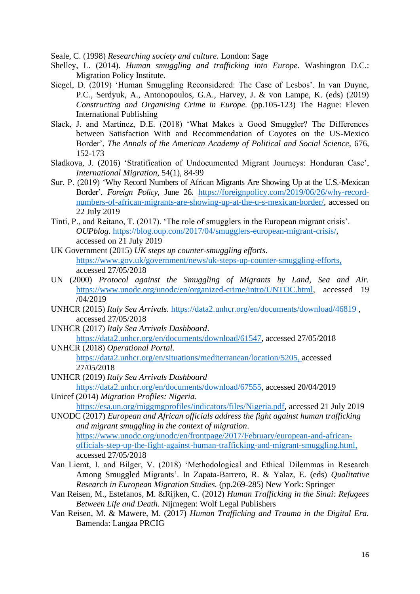Seale, C. (1998) *Researching society and culture*. London: Sage

- Shelley, L. (2014). *Human smuggling and trafficking into Europe*. Washington D.C.: Migration Policy Institute.
- Siegel, D. (2019) 'Human Smuggling Reconsidered: The Case of Lesbos'. In van Duyne, P.C., Serdyuk, A., Antonopoulos, G.A., Harvey, J. & von Lampe, K. (eds) (2019) *Constructing and Organising Crime in Europe*. (pp.105-123) The Hague: Eleven International Publishing
- Slack, J. and Martínez, D.E. (2018) 'What Makes a Good Smuggler? The Differences between Satisfaction With and Recommendation of Coyotes on the US-Mexico Border', *The Annals of the American Academy of Political and Social Science,* 676, 152-173
- Sladkova, J. (2016) 'Stratification of Undocumented Migrant Journeys: Honduran Case', *International Migration,* 54(1), 84-99
- Sur, P. (2019) 'Why Record Numbers of African Migrants Are Showing Up at the U.S.-Mexican Border', *Foreign Policy,* June 26. [https://foreignpolicy.com/2019/06/26/why-record](https://foreignpolicy.com/2019/06/26/why-record-numbers-of-african-migrants-are-showing-up-at-the-u-s-mexican-border/)[numbers-of-african-migrants-are-showing-up-at-the-u-s-mexican-border/,](https://foreignpolicy.com/2019/06/26/why-record-numbers-of-african-migrants-are-showing-up-at-the-u-s-mexican-border/) accessed on 22 July 2019
- Tinti, P., and Reitano, T. (2017). 'The role of smugglers in the European migrant crisis'. *OUPblog*. [https://blog.oup.com/2017/04/smugglers-european-migrant-crisis/,](https://blog.oup.com/2017/04/smugglers-european-migrant-crisis/) accessed on 21 July 2019
- UK Government (2015) *UK steps up counter-smuggling efforts*. [https://www.gov.uk/government/news/uk-steps-up-counter-smuggling-efforts,](https://www.gov.uk/government/news/uk-steps-up-counter-smuggling-efforts) accessed 27/05/2018
- UN (2000) *Protocol against the Smuggling of Migrants by Land, Sea and Air.* [https://www.unodc.org/unodc/en/organized-crime/intro/UNTOC.html,](https://www.unodc.org/unodc/en/organized-crime/intro/UNTOC.html) accessed 19 /04/2019
- UNHCR (2015) *Italy Sea Arrivals.* <https://data2.unhcr.org/en/documents/download/46819> , accessed 27/05/2018
- UNHCR (2017) *Italy Sea Arrivals Dashboard*. [https://data2.unhcr.org/en/documents/download/61547,](https://data2.unhcr.org/en/documents/download/61547) accessed 27/05/2018
- UNHCR (2018) *Operational Portal*. [https://data2.unhcr.org/en/situations/mediterranean/location/5205,](https://data2.unhcr.org/en/situations/mediterranean/location/5205) accessed 27/05/2018
- UNHCR (2019) *Italy Sea Arrivals Dashboard* [https://data2.unhcr.org/en/documents/download/67555,](https://data2.unhcr.org/en/documents/download/67555) accessed 20/04/2019
- Unicef (2014) *Migration Profiles: Nigeria*. [https://esa.un.org/miggmgprofiles/indicators/files/Nigeria.pdf,](https://esa.un.org/miggmgprofiles/indicators/files/Nigeria.pdf) accessed 21 July 2019

UNODC (2017) *European and African officials address the fight against human trafficking and migrant smuggling in the context of migration*. [https://www.unodc.org/unodc/en/frontpage/2017/February/european-and-african](https://www.unodc.org/unodc/en/frontpage/2017/February/european-and-african-officials-step-up-the-fight-against-human-trafficking-and-migrant-smuggling.html)[officials-step-up-the-fight-against-human-trafficking-and-migrant-smuggling.html,](https://www.unodc.org/unodc/en/frontpage/2017/February/european-and-african-officials-step-up-the-fight-against-human-trafficking-and-migrant-smuggling.html) accessed 27/05/2018

- Van Liemt, I. and Bilger, V. (2018) 'Methodological and Ethical Dilemmas in Research Among Smuggled Migrants'. In Zapata-Barrero, R. & Yalaz, E. (eds) *Qualitative Research in European Migration Studies.* (pp.269-285) New York: Springer
- Van Reisen, M., Estefanos, M. &Rijken, C. (2012) *Human Trafficking in the Sinai: Refugees Between Life and Death.* Nijmegen: Wolf Legal Publishers
- Van Reisen, M. & Mawere, M. (2017) *Human Trafficking and Trauma in the Digital Era.* Bamenda: Langaa PRCIG